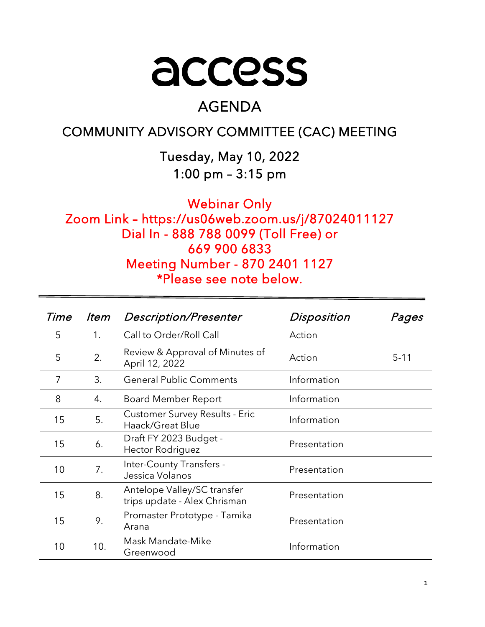# access

# AGENDA

# COMMUNITY ADVISORY COMMITTEE (CAC) MEETING

Tuesday, May 10, 2022 1:00 pm – 3:15 pm

Webinar Only Zoom Link – https://us06web.zoom.us/j/87024011127 Dial In - 888 788 0099 (Toll Free) or 669 900 6833 Meeting Number - 870 2401 1127 \*Please see note below.

| Time           | ltem | <b>Description/Presenter</b>                                | Disposition  | Pages    |
|----------------|------|-------------------------------------------------------------|--------------|----------|
| 5              | 1.   | Call to Order/Roll Call                                     | Action       |          |
| 5              | 2.   | Review & Approval of Minutes of<br>April 12, 2022           | Action       | $5 - 11$ |
| $\overline{7}$ | 3.   | <b>General Public Comments</b>                              | Information  |          |
| 8              | 4.   | <b>Board Member Report</b>                                  | Information  |          |
| 15             | 5.   | <b>Customer Survey Results - Eric</b><br>Haack/Great Blue   | Information  |          |
| 15             | 6.   | Draft FY 2023 Budget -<br><b>Hector Rodriguez</b>           | Presentation |          |
| 10             | 7.   | Inter-County Transfers -<br>Jessica Volanos                 | Presentation |          |
| 15             | 8.   | Antelope Valley/SC transfer<br>trips update - Alex Chrisman | Presentation |          |
| 15             | 9.   | Promaster Prototype - Tamika<br>Arana                       | Presentation |          |
| 10             | 10.  | Mask Mandate-Mike<br>Greenwood                              | Information  |          |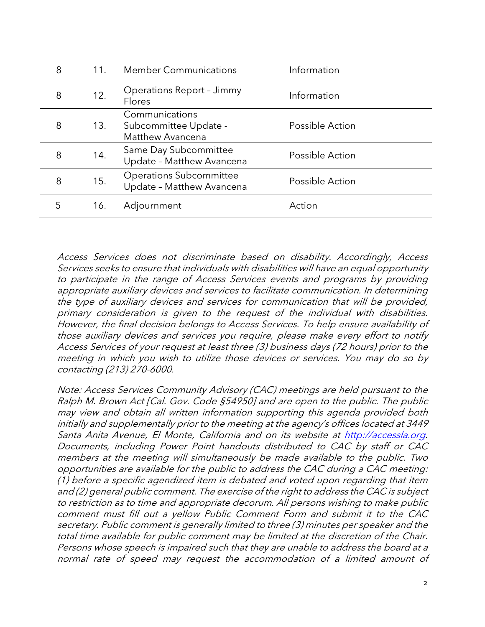| 8 | 11. | <b>Member Communications</b>                                | Information     |
|---|-----|-------------------------------------------------------------|-----------------|
| 8 | 12. | Operations Report - Jimmy<br>Flores                         | Information     |
| 8 | 13. | Communications<br>Subcommittee Update -<br>Matthew Avancena | Possible Action |
| 8 | 14. | Same Day Subcommittee<br>Update - Matthew Avancena          | Possible Action |
| 8 | 15. | <b>Operations Subcommittee</b><br>Update - Matthew Avancena | Possible Action |
| 5 | 16. | Adjournment                                                 | Action          |

Access Services does not discriminate based on disability. Accordingly, Access Services seeks to ensure that individuals with disabilities will have an equal opportunity to participate in the range of Access Services events and programs by providing appropriate auxiliary devices and services to facilitate communication. In determining the type of auxiliary devices and services for communication that will be provided, primary consideration is given to the request of the individual with disabilities. However, the final decision belongs to Access Services. To help ensure availability of those auxiliary devices and services you require, please make every effort to notify Access Services of your request at least three (3) business days (72 hours) prior to the meeting in which you wish to utilize those devices or services. You may do so by contacting (213) 270-6000.

Note: Access Services Community Advisory (CAC) meetings are held pursuant to the Ralph M. Brown Act [Cal. Gov. Code §54950] and are open to the public. The public may view and obtain all written information supporting this agenda provided both initially and supplementally prior to the meeting at the agency's offices located at 3449 Santa Anita Avenue, El Monte, California and on its website at [http://accessla.org.](http://accessla.org/) Documents, including Power Point handouts distributed to CAC by staff or CAC members at the meeting will simultaneously be made available to the public. Two opportunities are available for the public to address the CAC during a CAC meeting: (1) before a specific agendized item is debated and voted upon regarding that item and (2) general public comment. The exercise of the right to address the CAC is subject to restriction as to time and appropriate decorum. All persons wishing to make public comment must fill out a yellow Public Comment Form and submit it to the CAC secretary. Public comment is generally limited to three (3) minutes per speaker and the total time available for public comment may be limited at the discretion of the Chair. Persons whose speech is impaired such that they are unable to address the board at a normal rate of speed may request the accommodation of a limited amount of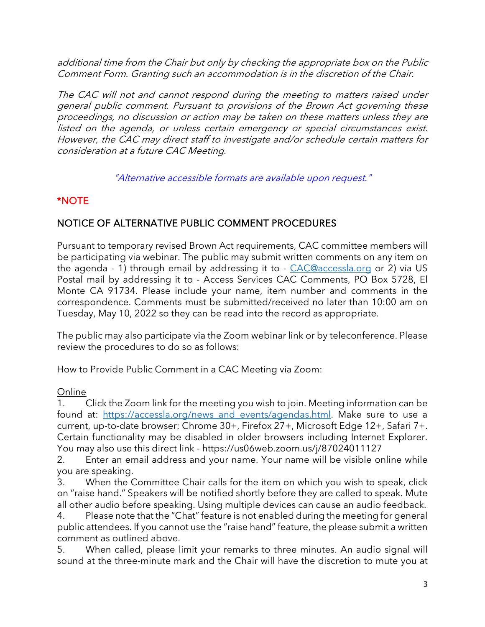additional time from the Chair but only by checking the appropriate box on the Public Comment Form. Granting such an accommodation is in the discretion of the Chair.

The CAC will not and cannot respond during the meeting to matters raised under general public comment. Pursuant to provisions of the Brown Act governing these proceedings, no discussion or action may be taken on these matters unless they are listed on the agenda, or unless certain emergency or special circumstances exist. However, the CAC may direct staff to investigate and/or schedule certain matters for consideration at a future CAC Meeting.

"Alternative accessible formats are available upon request."

# \*NOTE

# NOTICE OF ALTERNATIVE PUBLIC COMMENT PROCEDURES

Pursuant to temporary revised Brown Act requirements, CAC committee members will be participating via webinar. The public may submit written comments on any item on the agenda - 1) through email by addressing it to - [CAC@accessla.org](mailto:CAC@accessla.org) or 2) via US Postal mail by addressing it to - Access Services CAC Comments, PO Box 5728, El Monte CA 91734. Please include your name, item number and comments in the correspondence. Comments must be submitted/received no later than 10:00 am on Tuesday, May 10, 2022 so they can be read into the record as appropriate.

The public may also participate via the Zoom webinar link or by teleconference. Please review the procedures to do so as follows:

How to Provide Public Comment in a CAC Meeting via Zoom:

## Online

1. Click the Zoom link for the meeting you wish to join. Meeting information can be found at: [https://accessla.org/news\\_and\\_events/agendas.html.](https://accessla.org/news_and_events/agendas.html) Make sure to use a current, up-to-date browser: Chrome 30+, Firefox 27+, Microsoft Edge 12+, Safari 7+. Certain functionality may be disabled in older browsers including Internet Explorer. You may also use this direct link - https://us06web.zoom.us/j/87024011127

2. Enter an email address and your name. Your name will be visible online while you are speaking.

3. When the Committee Chair calls for the item on which you wish to speak, click on "raise hand." Speakers will be notified shortly before they are called to speak. Mute all other audio before speaking. Using multiple devices can cause an audio feedback.

4. Please note that the "Chat" feature is not enabled during the meeting for general public attendees. If you cannot use the "raise hand" feature, the please submit a written comment as outlined above.

5. When called, please limit your remarks to three minutes. An audio signal will sound at the three-minute mark and the Chair will have the discretion to mute you at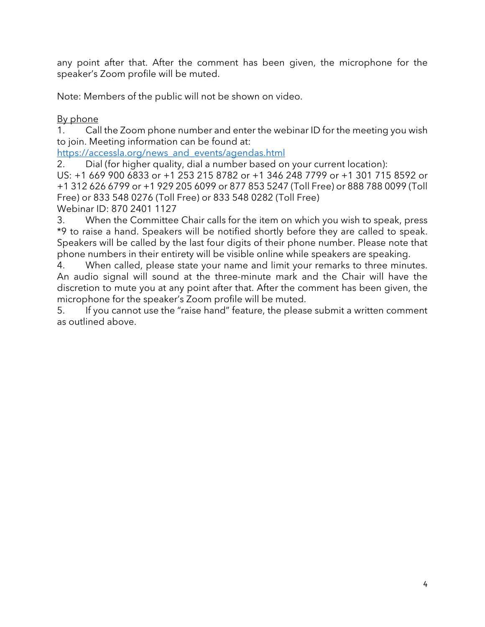any point after that. After the comment has been given, the microphone for the speaker's Zoom profile will be muted.

Note: Members of the public will not be shown on video.

By phone

1. Call the Zoom phone number and enter the webinar ID for the meeting you wish to join. Meeting information can be found at:

[https://accessla.org/news\\_and\\_events/agendas.html](https://accessla.org/news_and_events/agendas.html)

2. Dial (for higher quality, dial a number based on your current location):

US: +1 669 900 6833 or +1 253 215 8782 or +1 346 248 7799 or +1 301 715 8592 or +1 312 626 6799 or +1 929 205 6099 or 877 853 5247 (Toll Free) or 888 788 0099 (Toll Free) or 833 548 0276 (Toll Free) or 833 548 0282 (Toll Free)

Webinar ID: 870 2401 1127

3. When the Committee Chair calls for the item on which you wish to speak, press \*9 to raise a hand. Speakers will be notified shortly before they are called to speak. Speakers will be called by the last four digits of their phone number. Please note that phone numbers in their entirety will be visible online while speakers are speaking.

4. When called, please state your name and limit your remarks to three minutes. An audio signal will sound at the three-minute mark and the Chair will have the discretion to mute you at any point after that. After the comment has been given, the microphone for the speaker's Zoom profile will be muted.

5. If you cannot use the "raise hand" feature, the please submit a written comment as outlined above.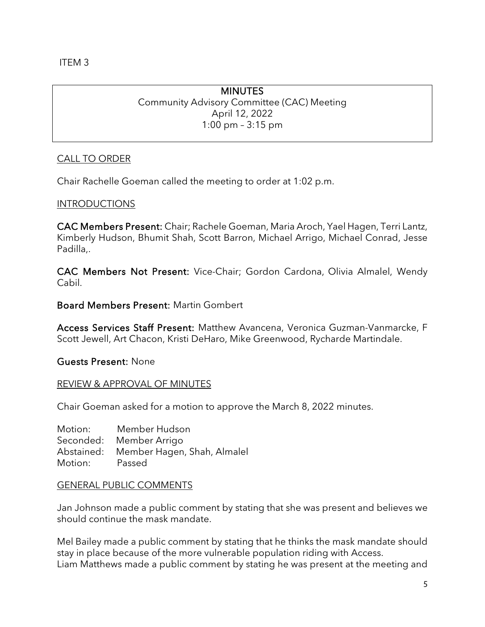ITEM 3

# MINUTES

Community Advisory Committee (CAC) Meeting April 12, 2022 1:00 pm – 3:15 pm

# CALL TO ORDER

Chair Rachelle Goeman called the meeting to order at 1:02 p.m.

# INTRODUCTIONS

CAC Members Present: Chair; Rachele Goeman, Maria Aroch, Yael Hagen, Terri Lantz, Kimberly Hudson, Bhumit Shah, Scott Barron, Michael Arrigo, Michael Conrad, Jesse Padilla,.

CAC Members Not Present: Vice-Chair; Gordon Cardona, Olivia Almalel, Wendy Cabil.

Board Members Present: Martin Gombert

Access Services Staff Present: Matthew Avancena, Veronica Guzman-Vanmarcke, F Scott Jewell, Art Chacon, Kristi DeHaro, Mike Greenwood, Rycharde Martindale.

Guests Present: None

## REVIEW & APPROVAL OF MINUTES

Chair Goeman asked for a motion to approve the March 8, 2022 minutes.

Motion: Member Hudson Seconded: Member Arrigo Abstained: Member Hagen, Shah, Almalel Motion: Passed

## GENERAL PUBLIC COMMENTS

Jan Johnson made a public comment by stating that she was present and believes we should continue the mask mandate.

Mel Bailey made a public comment by stating that he thinks the mask mandate should stay in place because of the more vulnerable population riding with Access. Liam Matthews made a public comment by stating he was present at the meeting and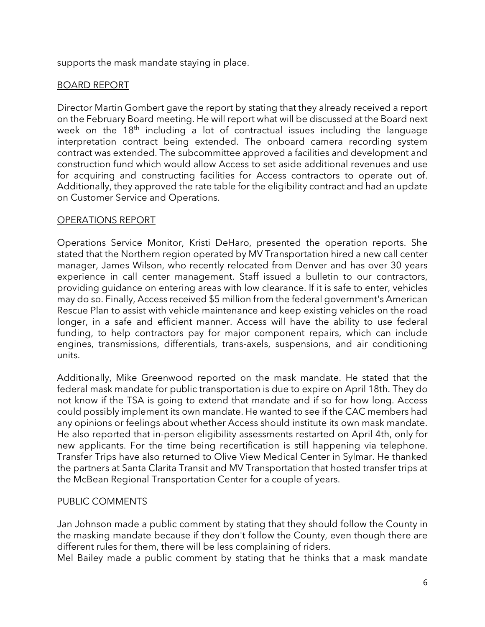supports the mask mandate staying in place.

# BOARD REPORT

Director Martin Gombert gave the report by stating that they already received a report on the February Board meeting. He will report what will be discussed at the Board next week on the  $18<sup>th</sup>$  including a lot of contractual issues including the language interpretation contract being extended. The onboard camera recording system contract was extended. The subcommittee approved a facilities and development and construction fund which would allow Access to set aside additional revenues and use for acquiring and constructing facilities for Access contractors to operate out of. Additionally, they approved the rate table for the eligibility contract and had an update on Customer Service and Operations.

## OPERATIONS REPORT

Operations Service Monitor, Kristi DeHaro, presented the operation reports. She stated that the Northern region operated by MV Transportation hired a new call center manager, James Wilson, who recently relocated from Denver and has over 30 years experience in call center management. Staff issued a bulletin to our contractors, providing guidance on entering areas with low clearance. If it is safe to enter, vehicles may do so. Finally, Access received \$5 million from the federal government's American Rescue Plan to assist with vehicle maintenance and keep existing vehicles on the road longer, in a safe and efficient manner. Access will have the ability to use federal funding, to help contractors pay for major component repairs, which can include engines, transmissions, differentials, trans-axels, suspensions, and air conditioning units.

Additionally, Mike Greenwood reported on the mask mandate. He stated that the federal mask mandate for public transportation is due to expire on April 18th. They do not know if the TSA is going to extend that mandate and if so for how long. Access could possibly implement its own mandate. He wanted to see if the CAC members had any opinions or feelings about whether Access should institute its own mask mandate. He also reported that in-person eligibility assessments restarted on April 4th, only for new applicants. For the time being recertification is still happening via telephone. Transfer Trips have also returned to Olive View Medical Center in Sylmar. He thanked the partners at Santa Clarita Transit and MV Transportation that hosted transfer trips at the McBean Regional Transportation Center for a couple of years.

# PUBLIC COMMENTS

Jan Johnson made a public comment by stating that they should follow the County in the masking mandate because if they don't follow the County, even though there are different rules for them, there will be less complaining of riders.

Mel Bailey made a public comment by stating that he thinks that a mask mandate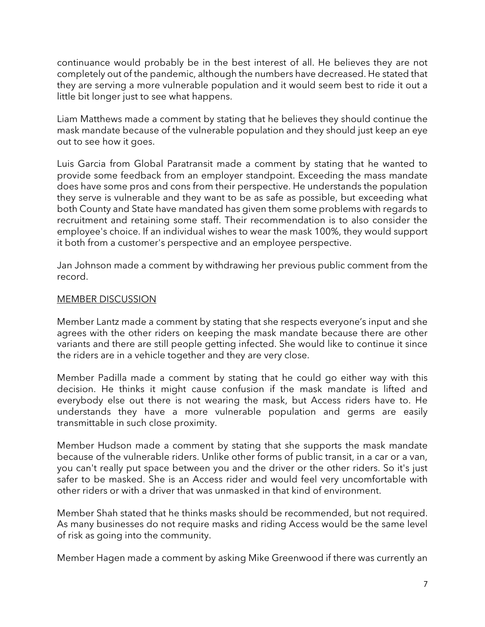continuance would probably be in the best interest of all. He believes they are not completely out of the pandemic, although the numbers have decreased. He stated that they are serving a more vulnerable population and it would seem best to ride it out a little bit longer just to see what happens.

Liam Matthews made a comment by stating that he believes they should continue the mask mandate because of the vulnerable population and they should just keep an eye out to see how it goes.

Luis Garcia from Global Paratransit made a comment by stating that he wanted to provide some feedback from an employer standpoint. Exceeding the mass mandate does have some pros and cons from their perspective. He understands the population they serve is vulnerable and they want to be as safe as possible, but exceeding what both County and State have mandated has given them some problems with regards to recruitment and retaining some staff. Their recommendation is to also consider the employee's choice. If an individual wishes to wear the mask 100%, they would support it both from a customer's perspective and an employee perspective.

Jan Johnson made a comment by withdrawing her previous public comment from the record.

#### MEMBER DISCUSSION

Member Lantz made a comment by stating that she respects everyone's input and she agrees with the other riders on keeping the mask mandate because there are other variants and there are still people getting infected. She would like to continue it since the riders are in a vehicle together and they are very close.

Member Padilla made a comment by stating that he could go either way with this decision. He thinks it might cause confusion if the mask mandate is lifted and everybody else out there is not wearing the mask, but Access riders have to. He understands they have a more vulnerable population and germs are easily transmittable in such close proximity.

Member Hudson made a comment by stating that she supports the mask mandate because of the vulnerable riders. Unlike other forms of public transit, in a car or a van, you can't really put space between you and the driver or the other riders. So it's just safer to be masked. She is an Access rider and would feel very uncomfortable with other riders or with a driver that was unmasked in that kind of environment.

Member Shah stated that he thinks masks should be recommended, but not required. As many businesses do not require masks and riding Access would be the same level of risk as going into the community.

Member Hagen made a comment by asking Mike Greenwood if there was currently an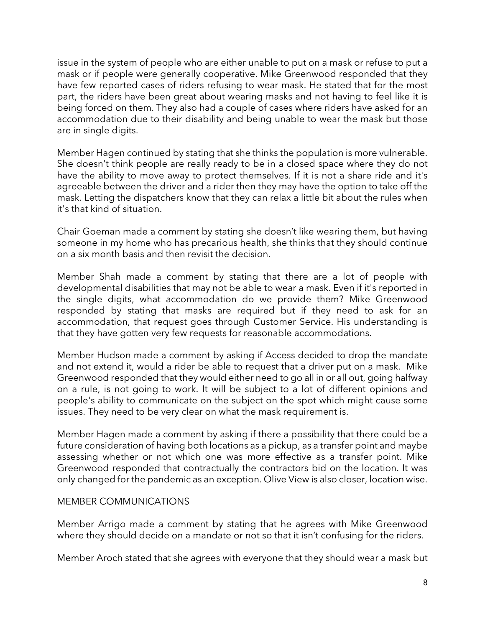issue in the system of people who are either unable to put on a mask or refuse to put a mask or if people were generally cooperative. Mike Greenwood responded that they have few reported cases of riders refusing to wear mask. He stated that for the most part, the riders have been great about wearing masks and not having to feel like it is being forced on them. They also had a couple of cases where riders have asked for an accommodation due to their disability and being unable to wear the mask but those are in single digits.

Member Hagen continued by stating that she thinks the population is more vulnerable. She doesn't think people are really ready to be in a closed space where they do not have the ability to move away to protect themselves. If it is not a share ride and it's agreeable between the driver and a rider then they may have the option to take off the mask. Letting the dispatchers know that they can relax a little bit about the rules when it's that kind of situation.

Chair Goeman made a comment by stating she doesn't like wearing them, but having someone in my home who has precarious health, she thinks that they should continue on a six month basis and then revisit the decision.

Member Shah made a comment by stating that there are a lot of people with developmental disabilities that may not be able to wear a mask. Even if it's reported in the single digits, what accommodation do we provide them? Mike Greenwood responded by stating that masks are required but if they need to ask for an accommodation, that request goes through Customer Service. His understanding is that they have gotten very few requests for reasonable accommodations.

Member Hudson made a comment by asking if Access decided to drop the mandate and not extend it, would a rider be able to request that a driver put on a mask. Mike Greenwood responded that they would either need to go all in or all out, going halfway on a rule, is not going to work. It will be subject to a lot of different opinions and people's ability to communicate on the subject on the spot which might cause some issues. They need to be very clear on what the mask requirement is.

Member Hagen made a comment by asking if there a possibility that there could be a future consideration of having both locations as a pickup, as a transfer point and maybe assessing whether or not which one was more effective as a transfer point. Mike Greenwood responded that contractually the contractors bid on the location. It was only changed for the pandemic as an exception. Olive View is also closer, location wise.

#### MEMBER COMMUNICATIONS

Member Arrigo made a comment by stating that he agrees with Mike Greenwood where they should decide on a mandate or not so that it isn't confusing for the riders.

Member Aroch stated that she agrees with everyone that they should wear a mask but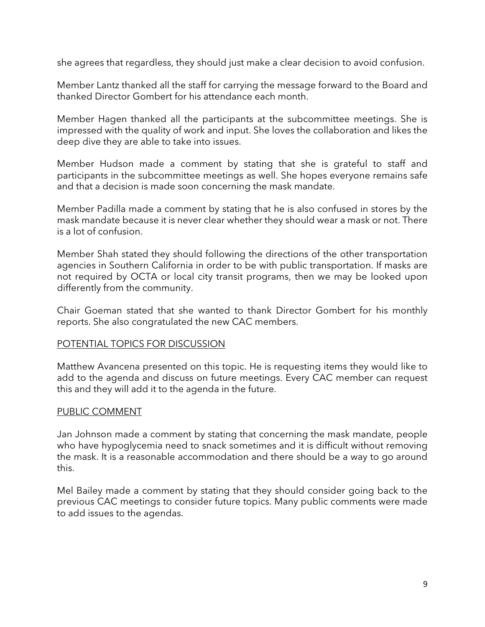she agrees that regardless, they should just make a clear decision to avoid confusion.

Member Lantz thanked all the staff for carrying the message forward to the Board and thanked Director Gombert for his attendance each month.

Member Hagen thanked all the participants at the subcommittee meetings. She is impressed with the quality of work and input. She loves the collaboration and likes the deep dive they are able to take into issues.

Member Hudson made a comment by stating that she is grateful to staff and participants in the subcommittee meetings as well. She hopes everyone remains safe and that a decision is made soon concerning the mask mandate.

Member Padilla made a comment by stating that he is also confused in stores by the mask mandate because it is never clear whether they should wear a mask or not. There is a lot of confusion.

Member Shah stated they should following the directions of the other transportation agencies in Southern California in order to be with public transportation. If masks are not required by OCTA or local city transit programs, then we may be looked upon differently from the community.

Chair Goeman stated that she wanted to thank Director Gombert for his monthly reports. She also congratulated the new CAC members.

#### POTENTIAL TOPICS FOR DISCUSSION

Matthew Avancena presented on this topic. He is requesting items they would like to add to the agenda and discuss on future meetings. Every CAC member can request this and they will add it to the agenda in the future.

## PUBLIC COMMENT

Jan Johnson made a comment by stating that concerning the mask mandate, people who have hypoglycemia need to snack sometimes and it is difficult without removing the mask. It is a reasonable accommodation and there should be a way to go around this.

Mel Bailey made a comment by stating that they should consider going back to the previous CAC meetings to consider future topics. Many public comments were made to add issues to the agendas.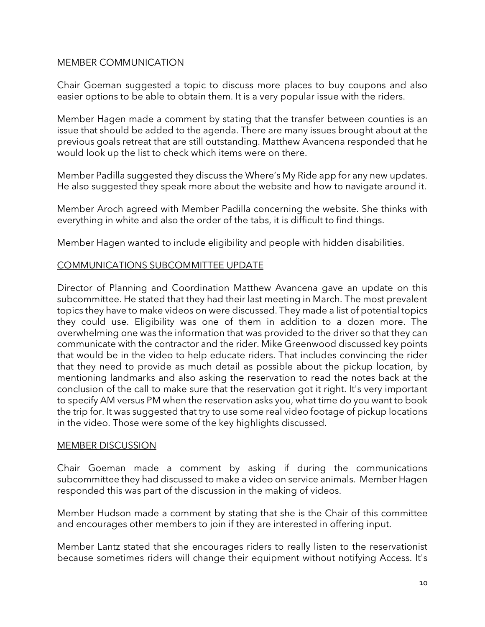#### MEMBER COMMUNICATION

Chair Goeman suggested a topic to discuss more places to buy coupons and also easier options to be able to obtain them. It is a very popular issue with the riders.

Member Hagen made a comment by stating that the transfer between counties is an issue that should be added to the agenda. There are many issues brought about at the previous goals retreat that are still outstanding. Matthew Avancena responded that he would look up the list to check which items were on there.

Member Padilla suggested they discuss the Where's My Ride app for any new updates. He also suggested they speak more about the website and how to navigate around it.

Member Aroch agreed with Member Padilla concerning the website. She thinks with everything in white and also the order of the tabs, it is difficult to find things.

Member Hagen wanted to include eligibility and people with hidden disabilities.

## COMMUNICATIONS SUBCOMMITTEE UPDATE

Director of Planning and Coordination Matthew Avancena gave an update on this subcommittee. He stated that they had their last meeting in March. The most prevalent topics they have to make videos on were discussed. They made a list of potential topics they could use. Eligibility was one of them in addition to a dozen more. The overwhelming one was the information that was provided to the driver so that they can communicate with the contractor and the rider. Mike Greenwood discussed key points that would be in the video to help educate riders. That includes convincing the rider that they need to provide as much detail as possible about the pickup location, by mentioning landmarks and also asking the reservation to read the notes back at the conclusion of the call to make sure that the reservation got it right. It's very important to specify AM versus PM when the reservation asks you, what time do you want to book the trip for. It was suggested that try to use some real video footage of pickup locations in the video. Those were some of the key highlights discussed.

#### MEMBER DISCUSSION

Chair Goeman made a comment by asking if during the communications subcommittee they had discussed to make a video on service animals. Member Hagen responded this was part of the discussion in the making of videos.

Member Hudson made a comment by stating that she is the Chair of this committee and encourages other members to join if they are interested in offering input.

Member Lantz stated that she encourages riders to really listen to the reservationist because sometimes riders will change their equipment without notifying Access. It's